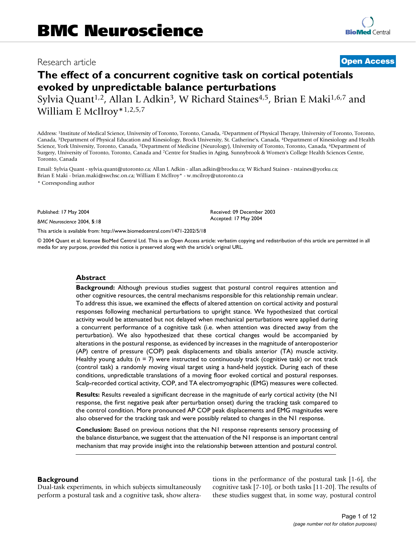# Research article **[Open Access](http://www.biomedcentral.com/info/about/charter/)**

# **The effect of a concurrent cognitive task on cortical potentials evoked by unpredictable balance perturbations**

Sylvia Quant<sup>1,2</sup>, Allan L Adkin<sup>3</sup>, W Richard Staines<sup>4,5</sup>, Brian E Maki<sup>1,6,7</sup> and William E McIlroy\*1,2,5,7

Address: 1Institute of Medical Science, University of Toronto, Toronto, Canada, 2Department of Physical Therapy, University of Toronto, Toronto, Canada, 3Department of Physical Education and Kinesiology, Brock University, St. Catherine's, Canada, 4Department of Kinesiology and Health Science, York University, Toronto, Canada, <sup>5</sup>Department of Medicine (Neurology), University of Toronto, Toronto, Canada, <sup>6</sup>Department of Surgery, University of Toronto, Toronto, Canada and 7Centre for Studies in Aging, Sunnybrook & Women's College Health Sciences Centre, Toronto, Canada

Email: Sylvia Quant - sylvia.quant@utoronto.ca; Allan L Adkin - allan.adkin@brocku.ca; W Richard Staines - rstaines@yorku.ca; Brian E Maki - brian.maki@swchsc.on.ca; William E McIlroy\* - w.mcilroy@utoronto.ca

\* Corresponding author

Published: 17 May 2004

*BMC Neuroscience* 2004, **5**:18

[This article is available from: http://www.biomedcentral.com/1471-2202/5/18](http://www.biomedcentral.com/1471-2202/5/18)

© 2004 Quant et al; licensee BioMed Central Ltd. This is an Open Access article: verbatim copying and redistribution of this article are permitted in all media for any purpose, provided this notice is preserved along with the article's original URL.

Received: 09 December 2003 Accepted: 17 May 2004

#### **Abstract**

**Background:** Although previous studies suggest that postural control requires attention and other cognitive resources, the central mechanisms responsible for this relationship remain unclear. To address this issue, we examined the effects of altered attention on cortical activity and postural responses following mechanical perturbations to upright stance. We hypothesized that cortical activity would be attenuated but not delayed when mechanical perturbations were applied during a concurrent performance of a cognitive task (i.e. when attention was directed away from the perturbation). We also hypothesized that these cortical changes would be accompanied by alterations in the postural response, as evidenced by increases in the magnitude of anteroposterior (AP) centre of pressure (COP) peak displacements and tibialis anterior (TA) muscle activity. Healthy young adults ( $n = 7$ ) were instructed to continuously track (cognitive task) or not track (control task) a randomly moving visual target using a hand-held joystick. During each of these conditions, unpredictable translations of a moving floor evoked cortical and postural responses. Scalp-recorded cortical activity, COP, and TA electromyographic (EMG) measures were collected.

**Results:** Results revealed a significant decrease in the magnitude of early cortical activity (the N1 response, the first negative peak after perturbation onset) during the tracking task compared to the control condition. More pronounced AP COP peak displacements and EMG magnitudes were also observed for the tracking task and were possibly related to changes in the N1 response.

**Conclusion:** Based on previous notions that the N1 response represents sensory processing of the balance disturbance, we suggest that the attenuation of the N1 response is an important central mechanism that may provide insight into the relationship between attention and postural control.

#### **Background**

Dual-task experiments, in which subjects simultaneously perform a postural task and a cognitive task, show alterations in the performance of the postural task [1-6], the cognitive task [7-10], or both tasks [11-20]. The results of these studies suggest that, in some way, postural control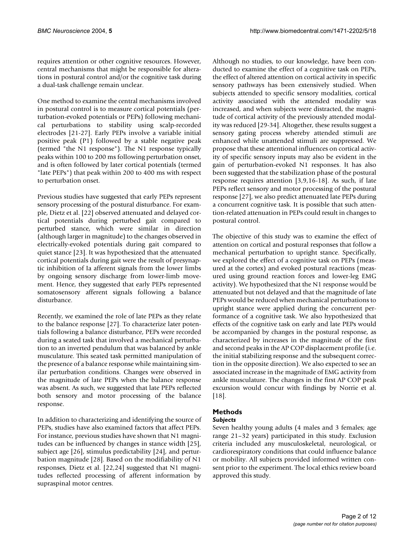requires attention or other cognitive resources. However, central mechanisms that might be responsible for alterations in postural control and/or the cognitive task during a dual-task challenge remain unclear.

One method to examine the central mechanisms involved in postural control is to measure cortical potentials (perturbation-evoked potentials or PEPs) following mechanical perturbations to stability using scalp-recorded electrodes [21-27]. Early PEPs involve a variable initial positive peak (P1) followed by a stable negative peak (termed "the N1 response"). The N1 response typically peaks within 100 to 200 ms following perturbation onset, and is often followed by later cortical potentials (termed "late PEPs") that peak within 200 to 400 ms with respect to perturbation onset.

Previous studies have suggested that early PEPs represent sensory processing of the postural disturbance. For example, Dietz et al. [22] observed attenuated and delayed cortical potentials during perturbed gait compared to perturbed stance, which were similar in direction (although larger in magnitude) to the changes observed in electrically-evoked potentials during gait compared to quiet stance [23]. It was hypothesized that the attenuated cortical potentials during gait were the result of presynaptic inhibition of Ia afferent signals from the lower limbs by ongoing sensory discharge from lower-limb movement. Hence, they suggested that early PEPs represented somatosensory afferent signals following a balance disturbance.

Recently, we examined the role of late PEPs as they relate to the balance response [27]. To characterize later potentials following a balance disturbance, PEPs were recorded during a seated task that involved a mechanical perturbation to an inverted pendulum that was balanced by ankle musculature. This seated task permitted manipulation of the presence of a balance response while maintaining similar perturbation conditions. Changes were observed in the magnitude of late PEPs when the balance response was absent. As such, we suggested that late PEPs reflected both sensory and motor processing of the balance response.

In addition to characterizing and identifying the source of PEPs, studies have also examined factors that affect PEPs. For instance, previous studies have shown that N1 magnitudes can be influenced by changes in stance width [25], subject age [26], stimulus predictability [24], and perturbation magnitude [28]. Based on the modifiability of N1 responses, Dietz et al. [22,24] suggested that N1 magnitudes reflected processing of afferent information by supraspinal motor centres.

Although no studies, to our knowledge, have been conducted to examine the effect of a cognitive task on PEPs, the effect of altered attention on cortical activity in specific sensory pathways has been extensively studied. When subjects attended to specific sensory modalities, cortical activity associated with the attended modality was increased, and when subjects were distracted, the magnitude of cortical activity of the previously attended modality was reduced [29-34]. Altogether, these results suggest a sensory gating process whereby attended stimuli are enhanced while unattended stimuli are suppressed. We propose that these attentional influences on cortical activity of specific sensory inputs may also be evident in the gain of perturbation-evoked N1 responses. It has also been suggested that the stabilization phase of the postural response requires attention [3,9,16-18]. As such, if late PEPs reflect sensory and motor processing of the postural response [27], we also predict attenuated late PEPs during a concurrent cognitive task. It is possible that such attention-related attenuation in PEPs could result in changes to postural control.

The objective of this study was to examine the effect of attention on cortical and postural responses that follow a mechanical perturbation to upright stance. Specifically, we explored the effect of a cognitive task on PEPs (measured at the cortex) and evoked postural reactions (measured using ground reaction forces and lower-leg EMG activity). We hypothesized that the N1 response would be attenuated but not delayed and that the magnitude of late PEPs would be reduced when mechanical perturbations to upright stance were applied during the concurrent performance of a cognitive task. We also hypothesized that effects of the cognitive task on early and late PEPs would be accompanied by changes in the postural response, as characterized by increases in the magnitude of the first and second peaks in the AP COP displacement profile (i.e. the initial stabilizing response and the subsequent correction in the opposite direction). We also expected to see an associated increase in the magnitude of EMG activity from ankle musculature. The changes in the first AP COP peak excursion would concur with findings by Norrie et al. [18].

#### **Methods** *Subjects*

Seven healthy young adults (4 males and 3 females; age range 21–32 years) participated in this study. Exclusion criteria included any musculoskeletal, neurological, or cardiorespiratory conditions that could influence balance or mobility. All subjects provided informed written consent prior to the experiment. The local ethics review board approved this study.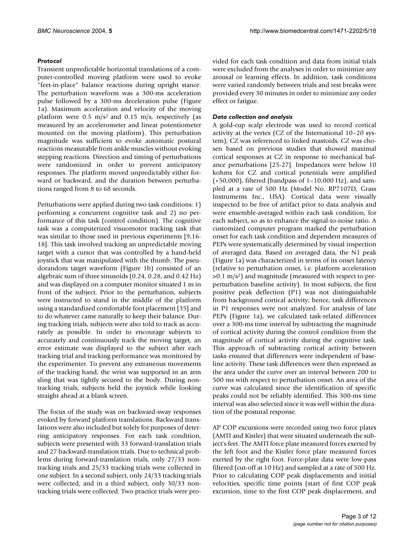#### *Protocol*

Transient unpredictable horizontal translations of a computer-controlled moving platform were used to evoke "feet-in-place" balance reactions during upright stance. The perturbation waveform was a 300-ms acceleration pulse followed by a 300-ms deceleration pulse (Figure [1a](#page-3-0)). Maximum acceleration and velocity of the moving platform were  $0.5 \text{ m/s}^2$  and  $0.15 \text{ m/s}$ , respectively (as measured by an accelerometer and linear potentiometer mounted on the moving platform). This perturbation magnitude was sufficient to evoke automatic postural reactions measurable from ankle muscles without evoking stepping reactions. Direction and timing of perturbations were randomized in order to prevent anticipatory responses. The platform moved unpredictably either forward or backward, and the duration between perturbations ranged from 8 to 68 seconds.

Perturbations were applied during two task conditions: 1) performing a concurrent cognitive task and 2) no performance of this task (control condition). The cognitive task was a computerized visuomotor tracking task that was similar to those used in previous experiments [9,16- 18]. This task involved tracking an unpredictable moving target with a cursor that was controlled by a hand-held joystick that was manipulated with the thumb. The pseudorandom target waveform (Figure [1](#page-3-0)b) consisted of an algebraic sum of three sinusoids (0.24, 0.28, and 0.42 Hz) and was displayed on a computer monitor situated 1 m in front of the subject. Prior to the perturbation, subjects were instructed to stand in the middle of the platform using a standardized comfortable foot placement [35] and to do whatever came naturally to keep their balance. During tracking trials, subjects were also told to track as accurately as possible. In order to encourage subjects to accurately and continuously track the moving target, an error estimate was displayed to the subject after each tracking trial and tracking performance was monitored by the experimenter. To prevent any extraneous movements of the tracking hand, the wrist was supported in an arm sling that was tightly secured to the body. During nontracking trials, subjects held the joystick while looking straight ahead at a blank screen.

The focus of the study was on backward-sway responses evoked by forward platform translations. Backward translations were also included but solely for purposes of deterring anticipatory responses. For each task condition, subjects were presented with 33 forward-translation trials and 27 backward-translation trials. Due to technical problems during forward-translation trials, only 27/33 nontracking trials and 25/33 tracking trials were collected in one subject. In a second subject, only 24/33 tracking trials were collected, and in a third subject, only 30/33 nontracking trials were collected. Two practice trials were provided for each task condition and data from initial trials were excluded from the analyses in order to minimize any arousal or learning effects. In addition, task conditions were varied randomly between trials and rest breaks were provided every 30 minutes in order to minimize any order effect or fatigue.

#### *Data collection and analysis*

A gold-cup scalp electrode was used to record cortical activity at the vertex (CZ of the International 10–20 system); CZ was referenced to linked mastoids. CZ was chosen based on previous studies that showed maximal cortical responses at CZ in response to mechanical balance perturbations [25-27]. Impedances were below 10 kohms for CZ and cortical potentials were amplified  $(x50,000)$ , filtered (bandpass of 1–10,000 Hz), and sampled at a rate of 500 Hz (Model No. RP7107D, Grass Instruments Inc., USA). Cortical data were visually inspected to be free of artifact prior to data analysis and were ensemble-averaged within each task condition, for each subject, so as to enhance the signal-to-noise ratio. A customized computer program marked the perturbation onset for each task condition and dependent measures of PEPs were systematically determined by visual inspection of averaged data. Based on averaged data, the N1 peak (Figure [1a](#page-3-0)) was characterized in terms of its onset latency (relative to perturbation onset, i.e. platform acceleration >0.1 m/s2) and magnitude (measured with respect to preperturbation baseline activity). In most subjects, the first positive peak deflection (P1) was not distinguishable from background cortical activity; hence, task differences in P1 responses were not analyzed. For analysis of late PEPs (Figure [1a](#page-3-0)), we calculated task-related differences over a 300-ms time interval by subtracting the magnitude of cortical activity during the control condition from the magnitude of cortical activity during the cognitive task. This approach of subtracting cortical activity between tasks ensured that differences were independent of baseline activity. These task differences were then expressed as the area under the curve over an interval between 200 to 500 ms with respect to perturbation onset. An area of the curve was calculated since the identification of specific peaks could not be reliably identified. This 300-ms time interval was also selected since it was well within the duration of the postural response.

AP COP excursions were recorded using two force plates (AMTI and Kistler) that were situated underneath the subject's feet. The AMTI force plate measured forces exerted by the left foot and the Kistler force plate measured forces exerted by the right foot. Force-plate data were low-pass filtered (cut-off at 10 Hz) and sampled at a rate of 500 Hz. Prior to calculating COP peak displacements and initial velocities, specific time points (start of first COP peak excursion, time to the first COP peak displacement, and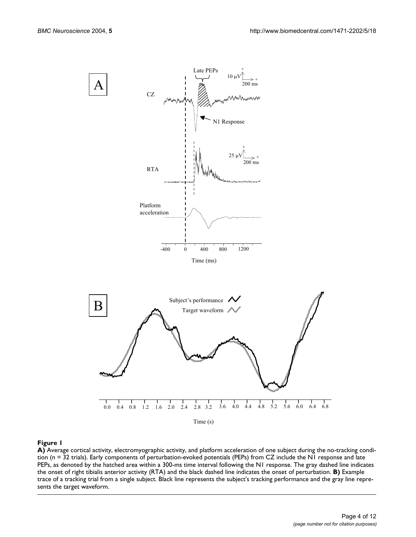<span id="page-3-0"></span>

**A)** Average cortical activity, electromyographic activity, and platform acceleration of one subject during the no-tracking condition (n = 32 trials). Early components of perturbation-evoked potentials (PEPs) from CZ include the N1 response and late PEPs, as denoted by the hatched area within a 300-ms time interval following the N1 response. The gray dashed line indicates the onset of right tibialis anterior activity (RTA) and the black dashed line indicates the onset of perturbation. **B)** Example trace of a tracking trial from a single subject. Black line represents the subject's tracking performance and the gray line represents the target waveform.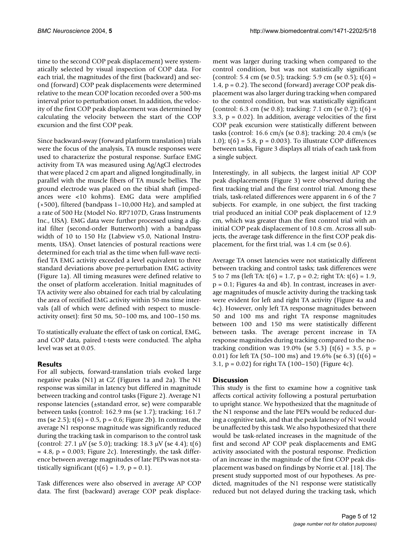time to the second COP peak displacement) were systematically selected by visual inspection of COP data. For each trial, the magnitudes of the first (backward) and second (forward) COP peak displacements were determined relative to the mean COP location recorded over a 500-ms interval prior to perturbation onset. In addition, the velocity of the first COP peak displacement was determined by calculating the velocity between the start of the COP excursion and the first COP peak.

Since backward-sway (forward platform translation) trials were the focus of the analysis, TA muscle responses were used to characterize the postural response. Surface EMG activity from TA was measured using Ag/AgCl electrodes that were placed 2 cm apart and aligned longitudinally, in parallel with the muscle fibers of TA muscle bellies. The ground electrode was placed on the tibial shaft (impedances were <10 kohms). EMG data were amplified (×500), filtered (bandpass 1–10,000 Hz), and sampled at a rate of 500 Hz (Model No. RP7107D, Grass Instruments Inc., USA). EMG data were further processed using a digital filter (second-order Butterworth) with a bandpass width of 10 to 150 Hz (Labview v5.0, National Instruments, USA). Onset latencies of postural reactions were determined for each trial as the time when full-wave rectified TA EMG activity exceeded a level equivalent to three standard deviations above pre-perturbation EMG activity (Figure [1a](#page-3-0)). All timing measures were defined relative to the onset of platform acceleration. Initial magnitudes of TA activity were also obtained for each trial by calculating the area of rectified EMG activity within 50-ms time intervals (all of which were defined with respect to muscleactivity onset): first 50 ms, 50–100 ms, and 100–150 ms.

To statistically evaluate the effect of task on cortical, EMG, and COP data, paired t-tests were conducted. The alpha level was set at 0.05.

## **Results**

For all subjects, forward-translation trials evoked large negative peaks (N1) at CZ (Figures [1a](#page-3-0) and [2](#page-5-0)a). The N1 response was similar in latency but differed in magnitude between tracking and control tasks (Figure [2\)](#page-5-0). Average N1 response latencies (±standard error, se) were comparable between tasks (control: 162.9 ms (se 1.7); tracking: 161.7 ms (se 2.5);  $t(6) = 0.5$ ,  $p = 0.6$ ; Figure [2b](#page-5-0)). In contrast, the average N1 response magnitude was significantly reduced during the tracking task in comparison to the control task (control: 27.1 µV (se 5.0); tracking: 18.3 µV (se 4.4); t(6)  $= 4.8$ ,  $p = 0.003$ ; Figure [2](#page-5-0)c). Interestingly, the task difference between average magnitudes of late PEPs was not statistically significant  $(t(6) = 1.9, p = 0.1)$ .

Task differences were also observed in average AP COP data. The first (backward) average COP peak displacement was larger during tracking when compared to the control condition, but was not statistically significant (control: 5.4 cm (se 0.5); tracking: 5.9 cm (se 0.5);  $t(6) =$ 1.4, p = 0.2). The second (forward) average COP peak displacement was also larger during tracking when compared to the control condition, but was statistically significant (control: 6.3 cm (se 0.8); tracking: 7.1 cm (se 0.7);  $t(6) =$  $3.3$ ,  $p = 0.02$ ). In addition, average velocities of the first COP peak excursion were statistically different between tasks (control: 16.6 cm/s (se 0.8); tracking: 20.4 cm/s (se 1.0);  $t(6) = 5.8$ ,  $p = 0.003$ . To illustrate COP differences between tasks, Figure [3](#page-6-0) displays all trials of each task from a single subject.

Interestingly, in all subjects, the largest initial AP COP peak displacements (Figure [3](#page-6-0)) were observed during the first tracking trial and the first control trial. Among these trials, task-related differences were apparent in 6 of the 7 subjects. For example, in one subject, the first tracking trial produced an initial COP peak displacement of 12.9 cm, which was greater than the first control trial with an initial COP peak displacement of 10.8 cm. Across all subjects, the average task difference in the first COP peak displacement, for the first trial, was 1.4 cm (se 0.6).

Average TA onset latencies were not statistically different between tracking and control tasks; task differences were 5 to 7 ms (left TA:  $t(6) = 1.7$ ,  $p = 0.2$ ; right TA:  $t(6) = 1.9$ ,  $p = 0.1$ ; Figures [4a](#page-7-0) and [4](#page-7-0)b). In contrast, increases in average magnitudes of muscle activity during the tracking task were evident for left and right TA activity (Figure [4](#page-7-0)a and [4](#page-7-0)c). However, only left TA response magnitudes between 50 and 100 ms and right TA response magnitudes between 100 and 150 ms were statistically different between tasks. The average percent increase in TA response magnitudes during tracking compared to the notracking condition was 19.0% (se 5.3) (t(6) = 3.5,  $p =$ 0.01) for left TA (50–100 ms) and 19.6% (se 6.3) (t(6) = 3.1, p = 0.02) for right TA (100–150) (Figure [4c](#page-7-0)).

## **Discussion**

This study is the first to examine how a cognitive task affects cortical activity following a postural perturbation to upright stance. We hypothesized that the magnitude of the N1 response and the late PEPs would be reduced during a cognitive task, and that the peak latency of N1 would be unaffected by this task. We also hypothesized that there would be task-related increases in the magnitude of the first and second AP COP peak displacements and EMG activity associated with the postural response. Prediction of an increase in the magnitude of the first COP peak displacement was based on findings by Norrie et al. [18]. The present study supported most of our hypotheses. As predicted, magnitudes of the N1 response were statistically reduced but not delayed during the tracking task, which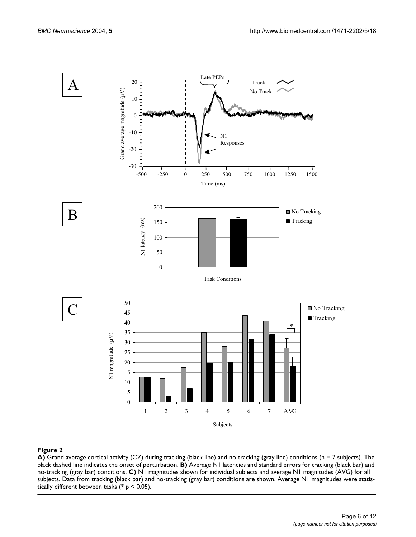<span id="page-5-0"></span>

#### **Figure 2**  $\overline{\phantom{a}}$  during tracking (black line) and no-tracking (gray line) conditions (gray line) conditions (

**A)** Grand average cortical activity (CZ) during tracking (black line) and no-tracking (gray line) conditions (n = 7 subjects). The black dashed line indicates the onset of perturbation. **B)** Average N1 latencies and standard errors for tracking (black bar) and no-tracking (gray bar) conditions. **C)** N1 magnitudes shown for individual subjects and average N1 magnitudes (AVG) for all subjects. Data from tracking (black bar) and no-tracking (gray bar) conditions are shown. Average N1 magnitudes were statistically different between tasks ( $*$  p < 0.05).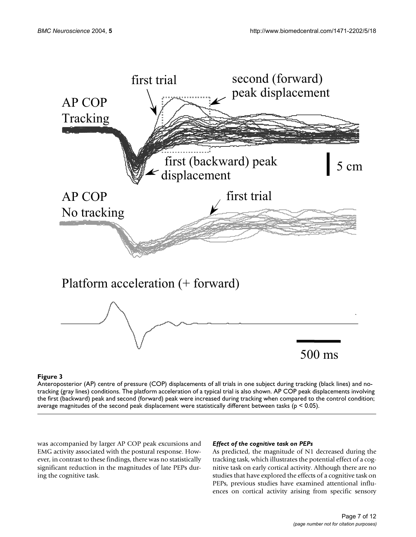<span id="page-6-0"></span>

#### Anteroposterior (AP) centre tracking (gray lines) conditions **Figure 3** of pressure (COP) displacements of all trials in one subject during tracking (black lines) and no-

Anteroposterior (AP) centre of pressure (COP) displacements of all trials in one subject during tracking (black lines) and notracking (gray lines) conditions. The platform acceleration of a typical trial is also shown. AP COP peak displacements involving the first (backward) peak and second (forward) peak were increased during tracking when compared to the control condition; average magnitudes of the second peak displacement were statistically different between tasks ( $p < 0.05$ ).

was accompanied by larger AP COP peak excursions and EMG activity associated with the postural response. However, in contrast to these findings, there was no statistically significant reduction in the magnitudes of late PEPs during the cognitive task.

#### *Effect of the cognitive task on PEPs*

As predicted, the magnitude of N1 decreased during the tracking task, which illustrates the potential effect of a cognitive task on early cortical activity. Although there are no studies that have explored the effects of a cognitive task on PEPs, previous studies have examined attentional influences on cortical activity arising from specific sensory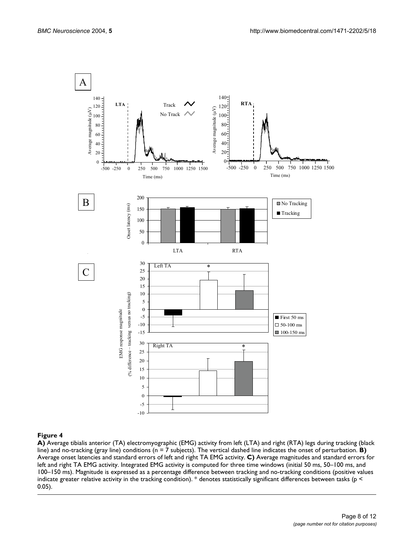<span id="page-7-0"></span>

#### **A)** line) and no-tracking (gray line **Figure 4** Average tibialis anterior (TA) ) conditions (n = 7 subjects) electromyographic (EMG) activity from left (LTA) and right (RTA) legs during tracking (black

**A)** Average tibialis anterior (TA) electromyographic (EMG) activity from left (LTA) and right (RTA) legs during tracking (black line) and no-tracking (gray line) conditions (n = 7 subjects). The vertical dashed line indicates the onset of perturbation. **B)**  Average onset latencies and standard errors of left and right TA EMG activity. **C)** Average magnitudes and standard errors for left and right TA EMG activity. Integrated EMG activity is computed for three time windows (initial 50 ms, 50–100 ms, and 100–150 ms). Magnitude is expressed as a percentage difference between tracking and no-tracking conditions (positive values indicate greater relative activity in the tracking condition).  $*$  denotes statistically significant differences between tasks ( $p <$ 0.05).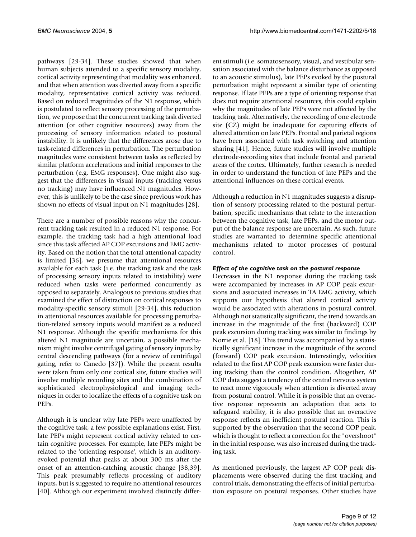pathways [29-34]. These studies showed that when human subjects attended to a specific sensory modality, cortical activity representing that modality was enhanced, and that when attention was diverted away from a specific modality, representative cortical activity was reduced. Based on reduced magnitudes of the N1 response, which is postulated to reflect sensory processing of the perturbation, we propose that the concurrent tracking task diverted attention (or other cognitive resources) away from the processing of sensory information related to postural instability. It is unlikely that the differences arose due to task-related differences in perturbation. The perturbation magnitudes were consistent between tasks as reflected by similar platform accelerations and initial responses to the perturbation (e.g. EMG responses). One might also suggest that the differences in visual inputs (tracking versus no tracking) may have influenced N1 magnitudes. However, this is unlikely to be the case since previous work has shown no effects of visual input on N1 magnitudes [28].

There are a number of possible reasons why the concurrent tracking task resulted in a reduced N1 response. For example, the tracking task had a high attentional load since this task affected AP COP excursions and EMG activity. Based on the notion that the total attentional capacity is limited [36], we presume that attentional resources available for each task (i.e. the tracking task and the task of processing sensory inputs related to instability) were reduced when tasks were performed concurrently as opposed to separately. Analogous to previous studies that examined the effect of distraction on cortical responses to modality-specific sensory stimuli [29-34], this reduction in attentional resources available for processing perturbation-related sensory inputs would manifest as a reduced N1 response. Although the specific mechanisms for this altered N1 magnitude are uncertain, a possible mechanism might involve centrifugal gating of sensory inputs by central descending pathways (for a review of centrifugal gating, refer to Canedo [37]). While the present results were taken from only one cortical site, future studies will involve multiple recording sites and the combination of sophisticated electrophysiological and imaging techniques in order to localize the effects of a cognitive task on PEPs.

Although it is unclear why late PEPs were unaffected by the cognitive task, a few possible explanations exist. First, late PEPs might represent cortical activity related to certain cognitive processes. For example, late PEPs might be related to the 'orienting response', which is an auditoryevoked potential that peaks at about 300 ms after the onset of an attention-catching acoustic change [38,39]. This peak presumably reflects processing of auditory inputs, but is suggested to require no attentional resources [40]. Although our experiment involved distinctly different stimuli (i.e. somatosensory, visual, and vestibular sensation associated with the balance disturbance as opposed to an acoustic stimulus), late PEPs evoked by the postural perturbation might represent a similar type of orienting response. If late PEPs are a type of orienting response that does not require attentional resources, this could explain why the magnitudes of late PEPs were not affected by the tracking task. Alternatively, the recording of one electrode site (CZ) might be inadequate for capturing effects of altered attention on late PEPs. Frontal and parietal regions have been associated with task switching and attention sharing [41]. Hence, future studies will involve multiple electrode-recording sites that include frontal and parietal areas of the cortex. Ultimately, further research is needed in order to understand the function of late PEPs and the attentional influences on these cortical events.

Although a reduction in N1 magnitudes suggests a disruption of sensory processing related to the postural perturbation, specific mechanisms that relate to the interaction between the cognitive task, late PEPs, and the motor output of the balance response are uncertain. As such, future studies are warranted to determine specific attentional mechanisms related to motor processes of postural control.

#### *Effect of the cognitive task on the postural response*

Decreases in the N1 response during the tracking task were accompanied by increases in AP COP peak excursions and associated increases in TA EMG activity, which supports our hypothesis that altered cortical activity would be associated with alterations in postural control. Although not statistically significant, the trend towards an increase in the magnitude of the first (backward) COP peak excursion during tracking was similar to findings by Norrie et al. [18]. This trend was accompanied by a statistically significant increase in the magnitude of the second (forward) COP peak excursion. Interestingly, velocities related to the first AP COP peak excursion were faster during tracking than the control condition. Altogether, AP COP data suggest a tendency of the central nervous system to react more vigorously when attention is diverted away from postural control. While it is possible that an overactive response represents an adaptation that acts to safeguard stability, it is also possible that an overactive response reflects an inefficient postural reaction. This is supported by the observation that the second COP peak, which is thought to reflect a correction for the "overshoot" in the initial response, was also increased during the tracking task.

As mentioned previously, the largest AP COP peak displacements were observed during the first tracking and control trials, demonstrating the effects of initial perturbation exposure on postural responses. Other studies have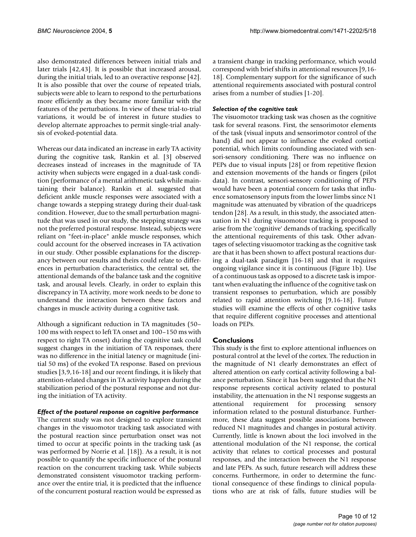also demonstrated differences between initial trials and later trials [42,43]. It is possible that increased arousal, during the initial trials, led to an overactive response [42]. It is also possible that over the course of repeated trials, subjects were able to learn to respond to the perturbations more efficiently as they became more familiar with the features of the perturbations. In view of these trial-to-trial variations, it would be of interest in future studies to develop alternate approaches to permit single-trial analysis of evoked-potential data.

Whereas our data indicated an increase in early TA activity during the cognitive task, Rankin et al. [3] observed decreases instead of increases in the magnitude of TA activity when subjects were engaged in a dual-task condition (performance of a mental arithmetic task while maintaining their balance). Rankin et al. suggested that deficient ankle muscle responses were associated with a change towards a stepping strategy during their dual-task condition. However, due to the small perturbation magnitude that was used in our study, the stepping strategy was not the preferred postural response. Instead, subjects were reliant on "feet-in-place" ankle muscle responses, which could account for the observed increases in TA activation in our study. Other possible explanations for the discrepancy between our results and theirs could relate to differences in perturbation characteristics, the central set, the attentional demands of the balance task and the cognitive task, and arousal levels. Clearly, in order to explain this discrepancy in TA activity, more work needs to be done to understand the interaction between these factors and changes in muscle activity during a cognitive task.

Although a significant reduction in TA magnitudes (50– 100 ms with respect to left TA onset and 100–150 ms with respect to right TA onset) during the cognitive task could suggest changes in the initiation of TA responses, there was no difference in the initial latency or magnitude (initial 50 ms) of the evoked TA response. Based on previous studies [3,9,16-18] and our recent findings, it is likely that attention-related changes in TA activity happen during the stabilization period of the postural response and not during the initiation of TA activity.

#### *Effect of the postural response on cognitive performance*

The current study was not designed to explore transient changes in the visuomotor tracking task associated with the postural reaction since perturbation onset was not timed to occur at specific points in the tracking task (as was performed by Norrie et al. [18]). As a result, it is not possible to quantify the specific influence of the postural reaction on the concurrent tracking task. While subjects demonstrated consistent visuomotor tracking performance over the entire trial, it is predicted that the influence of the concurrent postural reaction would be expressed as a transient change in tracking performance, which would correspond with brief shifts in attentional resources [9,16- 18]. Complementary support for the significance of such attentional requirements associated with postural control arises from a number of studies [1-20].

#### *Selection of the cognitive task*

The visuomotor tracking task was chosen as the cognitive task for several reasons. First, the sensorimotor elements of the task (visual inputs and sensorimotor control of the hand) did not appear to influence the evoked cortical potential, which limits confounding associated with sensori-sensory conditioning. There was no influence on PEPs due to visual inputs [28] or from repetitive flexion and extension movements of the hands or fingers (pilot data). In contrast, sensori-sensory conditioning of PEPs would have been a potential concern for tasks that influence somatosensory inputs from the lower limbs since N1 magnitude was attenuated by vibration of the quadriceps tendon [28]. As a result, in this study, the associated attenuation in N1 during visuomotor tracking is proposed to arise from the 'cognitive' demands of tracking, specifically the attentional requirements of this task. Other advantages of selecting visuomotor tracking as the cognitive task are that it has been shown to affect postural reactions during a dual-task paradigm [16-18] and that it requires ongoing vigilance since it is continuous (Figure [1](#page-3-0)b). Use of a continuous task as opposed to a discrete task is important when evaluating the influence of the cognitive task on transient responses to perturbation, which are possibly related to rapid attention switching [9,16-18]. Future studies will examine the effects of other cognitive tasks that require different cognitive processes and attentional loads on PEPs.

#### **Conclusions**

This study is the first to explore attentional influences on postural control at the level of the cortex. The reduction in the magnitude of N1 clearly demonstrates an effect of altered attention on early cortical activity following a balance perturbation. Since it has been suggested that the N1 response represents cortical activity related to postural instability, the attenuation in the N1 response suggests an attentional requirement for processing sensory information related to the postural disturbance. Furthermore, these data suggest possible associations between reduced N1 magnitudes and changes in postural activity. Currently, little is known about the loci involved in the attentional modulation of the N1 response, the cortical activity that relates to cortical processes and postural responses, and the interaction between the N1 response and late PEPs. As such, future research will address these concerns. Furthermore, in order to determine the functional consequence of these findings to clinical populations who are at risk of falls, future studies will be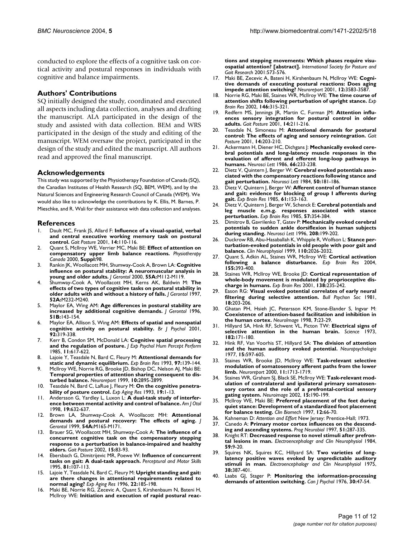conducted to explore the effects of a cognitive task on cortical activity and postural responses in individuals with cognitive and balance impairments.

#### **Authors' Contributions**

SQ initially designed the study, coordinated and executed all aspects including data collection, analyses and drafting the manuscript. ALA participated in the design of the study and assisted with data collection. BEM and WRS participated in the design of the study and editing of the manuscript. WEM oversaw the project, participated in the design of the study and edited the manuscript. All authors read and approved the final manuscript.

#### **Acknowledgements**

This study was supported by the Physiotherapy Foundation of Canada (SQ), the Canadian Institutes of Health Research (SQ, BEM, WEM), and by the Natural Sciences and Engineering Research Council of Canada (WEM). We would also like to acknowledge the contributions by K. Ellis, M. Barnes, P. Mieschke, and R. Wali for their assistance with data collection and analyses.

#### **References**

- 1. Dault MC, Frank JS, Allard F: **[Influence of a visual-spatial, verbal](http://www.ncbi.nlm.nih.gov/entrez/query.fcgi?cmd=Retrieve&db=PubMed&dopt=Abstract&list_uids=10.1016/S0966-6362(01)00113-8) [and central executive working memory task on postural](http://www.ncbi.nlm.nih.gov/entrez/query.fcgi?cmd=Retrieve&db=PubMed&dopt=Abstract&list_uids=10.1016/S0966-6362(01)00113-8) [control](http://www.ncbi.nlm.nih.gov/entrez/query.fcgi?cmd=Retrieve&db=PubMed&dopt=Abstract&list_uids=10.1016/S0966-6362(01)00113-8)[.](http://www.ncbi.nlm.nih.gov/entrez/query.fcgi?cmd=Retrieve&db=PubMed&dopt=Abstract&list_uids=11544062)** *Gait Posture* 2001, **14:**110-116.
- 2. Quant S, McIlroy WE, Verrier MC, Maki BE: **Effect of attention on compensatory upper limb balance reactions.** *Physiotherapy Canada* 2000, **Suppl:**98.
- 3. Rankin JK, Woollacott MH, Shumway-Cook A, Brown LA: **Cognitive influence on postural stability: A neuromuscular analysis in young and older adults.** *J Gerontol* 2000, **55A:**M112-M119.
- 4. Shumway-Cook A, Woollacott MH, Kerns AK, Baldwin M: **The effects of two types of cognitive tasks on postural stability in older adults with and without a history of falls.** *J Gerontol* 1997, **52A:**M232-M240.
- 5. Maylor EA, Wing AM: **Age differences in postural stability are increased by additional cognitive demands.** *J Gerontol* 1996, **51B:**143-154.
- 6. Maylor EA, Allison S, Wing AM: **[Effects of spatial and nonspatial](http://www.ncbi.nlm.nih.gov/entrez/query.fcgi?cmd=Retrieve&db=PubMed&dopt=Abstract&list_uids=10.1348/000712601162211) [cognitive activity on postural stability.](http://www.ncbi.nlm.nih.gov/entrez/query.fcgi?cmd=Retrieve&db=PubMed&dopt=Abstract&list_uids=10.1348/000712601162211)** *Br J Psychol* 2001, **92:**319-338.
- 7. Kerr B, Condon SM, McDonald LA: **[Cognitive spatial processing](http://www.ncbi.nlm.nih.gov/entrez/query.fcgi?cmd=Retrieve&db=PubMed&dopt=Abstract&list_uids=10.1037//0096-1523.11.5.617) [and the regulation of posture](http://www.ncbi.nlm.nih.gov/entrez/query.fcgi?cmd=Retrieve&db=PubMed&dopt=Abstract&list_uids=10.1037//0096-1523.11.5.617)[.](http://www.ncbi.nlm.nih.gov/entrez/query.fcgi?cmd=Retrieve&db=PubMed&dopt=Abstract&list_uids=2932533)** *J Exp Psychol Hum Percept Perform* 1985, **11:**617-622.
- 8. Lajoie Y, Teasdale N, Bard C, Fleury M: **[Attentional demands for](http://www.ncbi.nlm.nih.gov/entrez/query.fcgi?cmd=Retrieve&db=PubMed&dopt=Abstract&list_uids=8131825) [static and dynamic equilibrium.](http://www.ncbi.nlm.nih.gov/entrez/query.fcgi?cmd=Retrieve&db=PubMed&dopt=Abstract&list_uids=8131825)** *Exp Brain Res* 1993, **97:**139-144.
- 9. McIlroy WE, Norrie RG, Brooke JD, Bishop DC, Nelson AJ, Maki BE: **[Temporal properties of attention sharing consequent to dis](http://www.ncbi.nlm.nih.gov/entrez/query.fcgi?cmd=Retrieve&db=PubMed&dopt=Abstract&list_uids=10549793)[turbed balance.](http://www.ncbi.nlm.nih.gov/entrez/query.fcgi?cmd=Retrieve&db=PubMed&dopt=Abstract&list_uids=10549793)** *Neuroreport* 1999, **10:**2895-2899.
- 10. Teasdale N, Bard C, LaRue J, Fleury M: **[On the cognitive penetra](http://www.ncbi.nlm.nih.gov/entrez/query.fcgi?cmd=Retrieve&db=PubMed&dopt=Abstract&list_uids=8444263)[bility of posture control.](http://www.ncbi.nlm.nih.gov/entrez/query.fcgi?cmd=Retrieve&db=PubMed&dopt=Abstract&list_uids=8444263)** *Exp Aging Res* 1993, **19:**1-13.
- 11. Andersson G, Yardley L, Luxon L: **[A dual-task study of interfer](http://www.ncbi.nlm.nih.gov/entrez/query.fcgi?cmd=Retrieve&db=PubMed&dopt=Abstract&list_uids=9752972)[ence between mental activity and control of balance.](http://www.ncbi.nlm.nih.gov/entrez/query.fcgi?cmd=Retrieve&db=PubMed&dopt=Abstract&list_uids=9752972)** *Am J Otol* 1998, **19:**632-637.
- 12. Brown LA, Shumway-Cook A, Woollacott MH: **Attentional demands and postural recovery: The effects of aging.** *J Gerontol* 1999, **54A:**M165-M171.
- 13. Brauer SG, Woollacott MH, Shumway-Cook A: **[The influence of a](http://www.ncbi.nlm.nih.gov/entrez/query.fcgi?cmd=Retrieve&db=PubMed&dopt=Abstract&list_uids=10.1016/S0966-6362(01)00163-1) concurrent cognitive task on the compensatory stepping [response to a perturbation in balance-impaired and healthy](http://www.ncbi.nlm.nih.gov/entrez/query.fcgi?cmd=Retrieve&db=PubMed&dopt=Abstract&list_uids=10.1016/S0966-6362(01)00163-1) [elders](http://www.ncbi.nlm.nih.gov/entrez/query.fcgi?cmd=Retrieve&db=PubMed&dopt=Abstract&list_uids=10.1016/S0966-6362(01)00163-1)[.](http://www.ncbi.nlm.nih.gov/entrez/query.fcgi?cmd=Retrieve&db=PubMed&dopt=Abstract&list_uids=11809584)** *Gait Posture* 2002, **15:**83-93.
- 14. Ebersbach G, Dimitrijevic MR, Poewe W: **Influence of concurrent tasks on gait: A dual-task approach.** *Perceptural and Motor Skills* 1995, **81:**107-113.
- 15. Lajoie Y, Teasdale N, Bard C, Fleury M: **[Upright standing and gait:](http://www.ncbi.nlm.nih.gov/entrez/query.fcgi?cmd=Retrieve&db=PubMed&dopt=Abstract&list_uids=8735152) [are there changes in attentional requirements related to](http://www.ncbi.nlm.nih.gov/entrez/query.fcgi?cmd=Retrieve&db=PubMed&dopt=Abstract&list_uids=8735152) [normal aging?](http://www.ncbi.nlm.nih.gov/entrez/query.fcgi?cmd=Retrieve&db=PubMed&dopt=Abstract&list_uids=8735152)** *Exp Aging Res* 1996, **22:**185-198.
- 16. Maki BE, Norrie RG, Zecevic A, Quant S, Kirshenbaum N, Bateni H, McIlroy WE: **Initiation and execution of rapid postural reac-**

**tions and stepping movements: Which phases require visuospatial attention? [abstract].** *International Society for Posture and Gait Research* 2001:573-576.

- 17. Maki BE, Zecevic A, Bateni H, Kirshenbaum N, McIlroy WE: **[Cogni](http://www.ncbi.nlm.nih.gov/entrez/query.fcgi?cmd=Retrieve&db=PubMed&dopt=Abstract&list_uids=10.1097/00001756-200111160-00042)[tive demands of executing postural reactions: Does aging](http://www.ncbi.nlm.nih.gov/entrez/query.fcgi?cmd=Retrieve&db=PubMed&dopt=Abstract&list_uids=10.1097/00001756-200111160-00042) [impede attention switching?](http://www.ncbi.nlm.nih.gov/entrez/query.fcgi?cmd=Retrieve&db=PubMed&dopt=Abstract&list_uids=10.1097/00001756-200111160-00042)** *Neuroreport* 2001, **12:**3583-3587.
- 18. Norrie RG, Maki BE, Staines WR, McIlroy WE: **[The time course of](http://www.ncbi.nlm.nih.gov/entrez/query.fcgi?cmd=Retrieve&db=PubMed&dopt=Abstract&list_uids=10.1007/s00221-002-1172-z) [attention shifts following perturbation of upright stance](http://www.ncbi.nlm.nih.gov/entrez/query.fcgi?cmd=Retrieve&db=PubMed&dopt=Abstract&list_uids=10.1007/s00221-002-1172-z)[.](http://www.ncbi.nlm.nih.gov/entrez/query.fcgi?cmd=Retrieve&db=PubMed&dopt=Abstract&list_uids=12232688)** *Exp Brain Res* 2002, **146:**315-321.
- Redfern MS, Jennings JR, Martin C, Furman JM: [Attention influ](http://www.ncbi.nlm.nih.gov/entrez/query.fcgi?cmd=Retrieve&db=PubMed&dopt=Abstract&list_uids=10.1016/S0966-6362(01)00144-8)**[ences sensory integration for postural control in older](http://www.ncbi.nlm.nih.gov/entrez/query.fcgi?cmd=Retrieve&db=PubMed&dopt=Abstract&list_uids=10.1016/S0966-6362(01)00144-8) [adults](http://www.ncbi.nlm.nih.gov/entrez/query.fcgi?cmd=Retrieve&db=PubMed&dopt=Abstract&list_uids=10.1016/S0966-6362(01)00144-8)[.](http://www.ncbi.nlm.nih.gov/entrez/query.fcgi?cmd=Retrieve&db=PubMed&dopt=Abstract&list_uids=11600324)** *Gait Posture* 2001, **14:**211-216.
- 20. Teasdale N, Simoneau M: **[Attentional demands for postural](http://www.ncbi.nlm.nih.gov/entrez/query.fcgi?cmd=Retrieve&db=PubMed&dopt=Abstract&list_uids=10.1016/S0966-6362(01)00134-5) [control: The effects of aging and sensory reintegration](http://www.ncbi.nlm.nih.gov/entrez/query.fcgi?cmd=Retrieve&db=PubMed&dopt=Abstract&list_uids=10.1016/S0966-6362(01)00134-5)[.](http://www.ncbi.nlm.nih.gov/entrez/query.fcgi?cmd=Retrieve&db=PubMed&dopt=Abstract&list_uids=11600323)** *Gait Posture* 2001, **14:**203-210.
- 21. Ackermann H, Diener HC, Dichgans J: **[Mechanically evoked cere](http://www.ncbi.nlm.nih.gov/entrez/query.fcgi?cmd=Retrieve&db=PubMed&dopt=Abstract&list_uids=10.1016/0304-3940(86)90024-8)bral potentials and long-latency muscle responses in the [evaluation of afferent and efferent long-loop pathways in](http://www.ncbi.nlm.nih.gov/entrez/query.fcgi?cmd=Retrieve&db=PubMed&dopt=Abstract&list_uids=10.1016/0304-3940(86)90024-8) [humans](http://www.ncbi.nlm.nih.gov/entrez/query.fcgi?cmd=Retrieve&db=PubMed&dopt=Abstract&list_uids=10.1016/0304-3940(86)90024-8)[.](http://www.ncbi.nlm.nih.gov/entrez/query.fcgi?cmd=Retrieve&db=PubMed&dopt=Abstract&list_uids=3725188)** *Neurosci Lett* 1986, **66:**233-238.
- 22. Dietz V, Quintern J, Berger W: **[Cerebral evoked potentials asso](http://www.ncbi.nlm.nih.gov/entrez/query.fcgi?cmd=Retrieve&db=PubMed&dopt=Abstract&list_uids=10.1016/0304-3940(84)90483-X)[ciated with the compensatory reactions following stance and](http://www.ncbi.nlm.nih.gov/entrez/query.fcgi?cmd=Retrieve&db=PubMed&dopt=Abstract&list_uids=10.1016/0304-3940(84)90483-X) [gait perturbation](http://www.ncbi.nlm.nih.gov/entrez/query.fcgi?cmd=Retrieve&db=PubMed&dopt=Abstract&list_uids=10.1016/0304-3940(84)90483-X)[.](http://www.ncbi.nlm.nih.gov/entrez/query.fcgi?cmd=Retrieve&db=PubMed&dopt=Abstract&list_uids=6493623)** *Neurosci Lett* 1984, **50:**181-186.
- 23. Dietz V, Quintern J, Berger W: **[Afferent control of human stance](http://www.ncbi.nlm.nih.gov/entrez/query.fcgi?cmd=Retrieve&db=PubMed&dopt=Abstract&list_uids=4085594) [and gait: evidence for blocking of group I afferents during](http://www.ncbi.nlm.nih.gov/entrez/query.fcgi?cmd=Retrieve&db=PubMed&dopt=Abstract&list_uids=4085594) [gait.](http://www.ncbi.nlm.nih.gov/entrez/query.fcgi?cmd=Retrieve&db=PubMed&dopt=Abstract&list_uids=4085594)** *Exp Brain Res* 1985, **61:**153-163.
- 24. Dietz V, Quintern J, Berger W, Schenck E: **Cerebral potentials and leg muscle e.m.g. responses associated with stance perturbation.** *Exp Brain Res* 1985, **57:**354-384.
- 25. Dimitrov B, Gavrilenko T, Gatev P: **[Mechanically evoked cerebral](http://www.ncbi.nlm.nih.gov/entrez/query.fcgi?cmd=Retrieve&db=PubMed&dopt=Abstract&list_uids=10.1016/0304-3940(96)12580-5) [potentials to sudden ankle dorsiflexion in human subjects](http://www.ncbi.nlm.nih.gov/entrez/query.fcgi?cmd=Retrieve&db=PubMed&dopt=Abstract&list_uids=10.1016/0304-3940(96)12580-5) [during standing](http://www.ncbi.nlm.nih.gov/entrez/query.fcgi?cmd=Retrieve&db=PubMed&dopt=Abstract&list_uids=10.1016/0304-3940(96)12580-5)[.](http://www.ncbi.nlm.nih.gov/entrez/query.fcgi?cmd=Retrieve&db=PubMed&dopt=Abstract&list_uids=8733304)** *Neurosci Lett* 1996, **208:**199-202.
- 26. Duckrow RB, Abu-Hasaballah K, Whipple R, Wolfson L: **[Stance per](http://www.ncbi.nlm.nih.gov/entrez/query.fcgi?cmd=Retrieve&db=PubMed&dopt=Abstract&list_uids=10.1016/S1388-2457(99)00195-9)[turbation-evoked potentials in old people with poor gait and](http://www.ncbi.nlm.nih.gov/entrez/query.fcgi?cmd=Retrieve&db=PubMed&dopt=Abstract&list_uids=10.1016/S1388-2457(99)00195-9) [balance](http://www.ncbi.nlm.nih.gov/entrez/query.fcgi?cmd=Retrieve&db=PubMed&dopt=Abstract&list_uids=10.1016/S1388-2457(99)00195-9)[.](http://www.ncbi.nlm.nih.gov/entrez/query.fcgi?cmd=Retrieve&db=PubMed&dopt=Abstract&list_uids=10616107)** *Clin Neurophysiol* 1999, **110:**2026-2032.
- 27. Quant S, Adkin AL, Staines WR, McIlroy WE: **[Cortical activation](http://www.ncbi.nlm.nih.gov/entrez/query.fcgi?cmd=Retrieve&db=PubMed&dopt=Abstract&list_uids=10.1007/s00221-003-1744-6) [following a balance disturbance](http://www.ncbi.nlm.nih.gov/entrez/query.fcgi?cmd=Retrieve&db=PubMed&dopt=Abstract&list_uids=10.1007/s00221-003-1744-6)[.](http://www.ncbi.nlm.nih.gov/entrez/query.fcgi?cmd=Retrieve&db=PubMed&dopt=Abstract&list_uids=14968271)** *Exp Brain Res* 2004, **155:**393-400.
- 28. Staines WR, McIlroy WE, Brooke JD: **[Cortical representation of](http://www.ncbi.nlm.nih.gov/entrez/query.fcgi?cmd=Retrieve&db=PubMed&dopt=Abstract&list_uids=10.1007/s002210100691) [whole-body movement is modulated by proprioceptive dis](http://www.ncbi.nlm.nih.gov/entrez/query.fcgi?cmd=Retrieve&db=PubMed&dopt=Abstract&list_uids=10.1007/s002210100691)[charge in humans](http://www.ncbi.nlm.nih.gov/entrez/query.fcgi?cmd=Retrieve&db=PubMed&dopt=Abstract&list_uids=10.1007/s002210100691)[.](http://www.ncbi.nlm.nih.gov/entrez/query.fcgi?cmd=Retrieve&db=PubMed&dopt=Abstract&list_uids=11417464)** *Exp Brain Res* 2001, **138:**235-242.
- 29. Eason RG: **Visual evoked potential correlates of early neural filtering during selective attention.** *Bull Psychon Soc* 1981, **18:**203-206.
- 30. Ghatan PH, Hsieh JC, Petersson KM, Stone-Elander S, Ingvar M: **[Coexistence of attention-based facilitation and inhibition in](http://www.ncbi.nlm.nih.gov/entrez/query.fcgi?cmd=Retrieve&db=PubMed&dopt=Abstract&list_uids=10.1006/nimg.1997.0307) [the human cortex](http://www.ncbi.nlm.nih.gov/entrez/query.fcgi?cmd=Retrieve&db=PubMed&dopt=Abstract&list_uids=10.1006/nimg.1997.0307)[.](http://www.ncbi.nlm.nih.gov/entrez/query.fcgi?cmd=Retrieve&db=PubMed&dopt=Abstract&list_uids=9500831)** *NeuroImage* 1998, **7:**23-29.
- 31. Hillyard SA, Hink RF, Schwent VL, Picton TW: **[Electrical signs of](http://www.ncbi.nlm.nih.gov/entrez/query.fcgi?cmd=Retrieve&db=PubMed&dopt=Abstract&list_uids=4581053) [selective attention in the human brain.](http://www.ncbi.nlm.nih.gov/entrez/query.fcgi?cmd=Retrieve&db=PubMed&dopt=Abstract&list_uids=4581053)** *Science* 1973, **182:**171-180.
- 32. Hink RF, Van Voorhis ST, Hillyard SA: **[The division of attention](http://www.ncbi.nlm.nih.gov/entrez/query.fcgi?cmd=Retrieve&db=PubMed&dopt=Abstract&list_uids=10.1016/0028-3932(77)90065-3) [and the human auditory evoked potential](http://www.ncbi.nlm.nih.gov/entrez/query.fcgi?cmd=Retrieve&db=PubMed&dopt=Abstract&list_uids=10.1016/0028-3932(77)90065-3)[.](http://www.ncbi.nlm.nih.gov/entrez/query.fcgi?cmd=Retrieve&db=PubMed&dopt=Abstract&list_uids=896017)** *Neuropsychologia* 1977, **15:**597-605.
- 33. Staines WR, Brooke JD, McIlroy WE: **[Task-relevant selective](http://www.ncbi.nlm.nih.gov/entrez/query.fcgi?cmd=Retrieve&db=PubMed&dopt=Abstract&list_uids=10852231) [modulation of somatosensory afferent paths from the lower](http://www.ncbi.nlm.nih.gov/entrez/query.fcgi?cmd=Retrieve&db=PubMed&dopt=Abstract&list_uids=10852231) [limb.](http://www.ncbi.nlm.nih.gov/entrez/query.fcgi?cmd=Retrieve&db=PubMed&dopt=Abstract&list_uids=10852231)** *Neuroreport* 2000, **11:**1713-1719.
- 34. Staines WR, Graham SJ, Black SE, McIlroy WE: **[Task-relevant mod](http://www.ncbi.nlm.nih.gov/entrez/query.fcgi?cmd=Retrieve&db=PubMed&dopt=Abstract&list_uids=10.1006/nimg.2001.0953)[ulation of contralateral and ipsilateral primary somatosen](http://www.ncbi.nlm.nih.gov/entrez/query.fcgi?cmd=Retrieve&db=PubMed&dopt=Abstract&list_uids=10.1006/nimg.2001.0953)sory cortex and the role of a prefrontal-cortical sensory [gating system](http://www.ncbi.nlm.nih.gov/entrez/query.fcgi?cmd=Retrieve&db=PubMed&dopt=Abstract&list_uids=10.1006/nimg.2001.0953)[.](http://www.ncbi.nlm.nih.gov/entrez/query.fcgi?cmd=Retrieve&db=PubMed&dopt=Abstract&list_uids=11771988)** *Neuroimage* 2002, **15:**190-199.
- 35. McIlroy WE, Maki BE: **[Preferred placement of the feet during](http://www.ncbi.nlm.nih.gov/entrez/query.fcgi?cmd=Retrieve&db=PubMed&dopt=Abstract&list_uids=10.1016/S0268-0033(96)00040-X) [quiet stance: Development of a standardized foot placement](http://www.ncbi.nlm.nih.gov/entrez/query.fcgi?cmd=Retrieve&db=PubMed&dopt=Abstract&list_uids=10.1016/S0268-0033(96)00040-X) [for balance testing.](http://www.ncbi.nlm.nih.gov/entrez/query.fcgi?cmd=Retrieve&db=PubMed&dopt=Abstract&list_uids=10.1016/S0268-0033(96)00040-X)** *Clin Biomech* 1997, **12:**66-70.
- 36. Kahneman D: *Attention and Effort* New Jersey: Prentice-Hall; 1973.
- Canedo A: [Primary motor cortex influences on the descend](http://www.ncbi.nlm.nih.gov/entrez/query.fcgi?cmd=Retrieve&db=PubMed&dopt=Abstract&list_uids=10.1016/S0301-0082(96)00058-5)**[ing and ascending systems](http://www.ncbi.nlm.nih.gov/entrez/query.fcgi?cmd=Retrieve&db=PubMed&dopt=Abstract&list_uids=10.1016/S0301-0082(96)00058-5)[.](http://www.ncbi.nlm.nih.gov/entrez/query.fcgi?cmd=Retrieve&db=PubMed&dopt=Abstract&list_uids=9089791)** *Prog Neurobiol* 1997, **51:**287-335.
- 38. Knight RT: **[Decreased response to novel stimuli after prefron](http://www.ncbi.nlm.nih.gov/entrez/query.fcgi?cmd=Retrieve&db=PubMed&dopt=Abstract&list_uids=10.1016/0168-5597(84)90016-9)[tal lesions in man.](http://www.ncbi.nlm.nih.gov/entrez/query.fcgi?cmd=Retrieve&db=PubMed&dopt=Abstract&list_uids=10.1016/0168-5597(84)90016-9)** *Electroencephalogr and Clin Neurophysiol* 1984, **59:**9-20.
- Squires NK, Squires KC, Hillyard SA: [Two varieties of long](http://www.ncbi.nlm.nih.gov/entrez/query.fcgi?cmd=Retrieve&db=PubMed&dopt=Abstract&list_uids=10.1016/0013-4694(75)90263-1)**[latency positive waves evoked by unpredictable auditory](http://www.ncbi.nlm.nih.gov/entrez/query.fcgi?cmd=Retrieve&db=PubMed&dopt=Abstract&list_uids=10.1016/0013-4694(75)90263-1) [stimuli in man.](http://www.ncbi.nlm.nih.gov/entrez/query.fcgi?cmd=Retrieve&db=PubMed&dopt=Abstract&list_uids=10.1016/0013-4694(75)90263-1)** *Electroencephalogr and Clin Neurophysiol* 1975, **38:**387-401.
- 40. Laabs GJ, Stager P: **[Monitoring the information-processing](http://www.ncbi.nlm.nih.gov/entrez/query.fcgi?cmd=Retrieve&db=PubMed&dopt=Abstract&list_uids=974893) [demands of attention switching.](http://www.ncbi.nlm.nih.gov/entrez/query.fcgi?cmd=Retrieve&db=PubMed&dopt=Abstract&list_uids=974893)** *Can J Psychol* 1976, **30:**47-54.